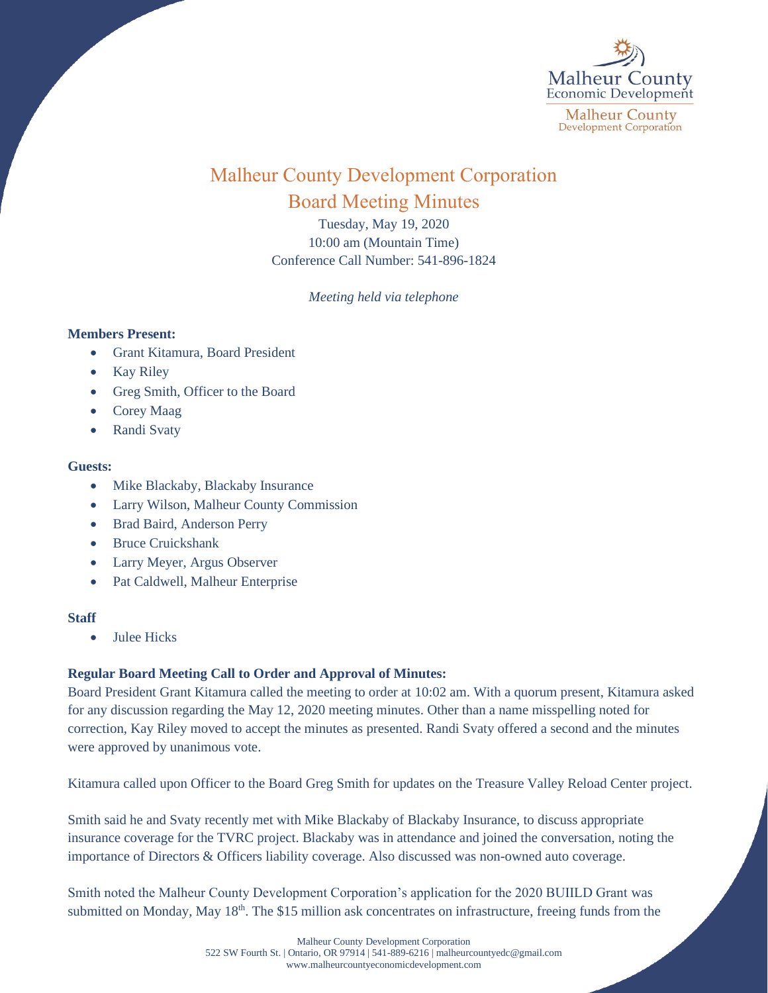

# Malheur County Development Corporation Board Meeting Minutes

Tuesday, May 19, 2020 10:00 am (Mountain Time) Conference Call Number: 541-896-1824

*Meeting held via telephone*

## **Members Present:**

- Grant Kitamura, Board President
- Kay Riley
- Greg Smith, Officer to the Board
- Corey Maag
- Randi Svaty

## **Guests:**

- Mike Blackaby, Blackaby Insurance
- Larry Wilson, Malheur County Commission
- Brad Baird, Anderson Perry
- Bruce Cruickshank
- Larry Meyer, Argus Observer
- Pat Caldwell, Malheur Enterprise

## **Staff**

• Julee Hicks

## **Regular Board Meeting Call to Order and Approval of Minutes:**

Board President Grant Kitamura called the meeting to order at 10:02 am. With a quorum present, Kitamura asked for any discussion regarding the May 12, 2020 meeting minutes. Other than a name misspelling noted for correction, Kay Riley moved to accept the minutes as presented. Randi Svaty offered a second and the minutes were approved by unanimous vote.

Kitamura called upon Officer to the Board Greg Smith for updates on the Treasure Valley Reload Center project.

Smith said he and Svaty recently met with Mike Blackaby of Blackaby Insurance, to discuss appropriate insurance coverage for the TVRC project. Blackaby was in attendance and joined the conversation, noting the importance of Directors & Officers liability coverage. Also discussed was non-owned auto coverage.

Smith noted the Malheur County Development Corporation's application for the 2020 BUIILD Grant was submitted on Monday, May 18<sup>th</sup>. The \$15 million ask concentrates on infrastructure, freeing funds from the